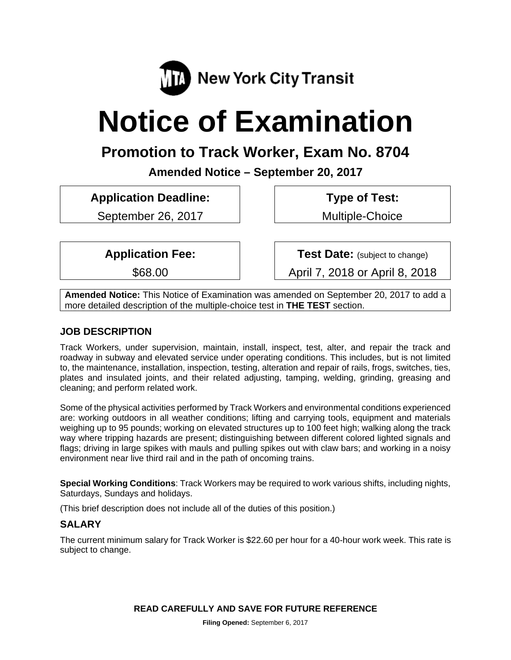

# **Notice of Examination**

# **Promotion to Track Worker, Exam No. 8704**

**Amended Notice – September 20, 2017** 

**Application Deadline:** 

September 26, 2017

 **Type of Test:** 

Multiple-Choice

**Application Fee:** 

\$68.00

**Test Date:** (subject to change)

April 7, 2018 or April 8, 2018

**Amended Notice:** This Notice of Examination was amended on September 20, 2017 to add a more detailed description of the multiple-choice test in **THE TEST** section.

# **JOB DESCRIPTION**

Track Workers, under supervision, maintain, install, inspect, test, alter, and repair the track and roadway in subway and elevated service under operating conditions. This includes, but is not limited to, the maintenance, installation, inspection, testing, alteration and repair of rails, frogs, switches, ties, plates and insulated joints, and their related adjusting, tamping, welding, grinding, greasing and cleaning; and perform related work.

Some of the physical activities performed by Track Workers and environmental conditions experienced are: working outdoors in all weather conditions; lifting and carrying tools, equipment and materials weighing up to 95 pounds; working on elevated structures up to 100 feet high; walking along the track way where tripping hazards are present; distinguishing between different colored lighted signals and flags; driving in large spikes with mauls and pulling spikes out with claw bars; and working in a noisy environment near live third rail and in the path of oncoming trains.

**Special Working Conditions**: Track Workers may be required to work various shifts, including nights, Saturdays, Sundays and holidays.

(This brief description does not include all of the duties of this position.)

# **SALARY**

The current minimum salary for Track Worker is \$22.60 per hour for a 40-hour work week. This rate is subject to change.

**READ CAREFULLY AND SAVE FOR FUTURE REFERENCE**

**Filing Opened:** September 6, 2017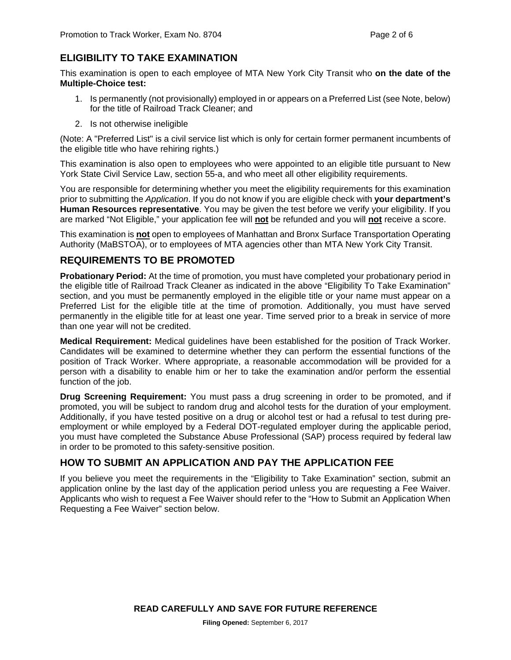# **ELIGIBILITY TO TAKE EXAMINATION**

This examination is open to each employee of MTA New York City Transit who **on the date of the Multiple-Choice test:** 

- 1. Is permanently (not provisionally) employed in or appears on a Preferred List (see Note, below) for the title of Railroad Track Cleaner; and
- 2. Is not otherwise ineligible

(Note: A "Preferred List" is a civil service list which is only for certain former permanent incumbents of the eligible title who have rehiring rights.)

This examination is also open to employees who were appointed to an eligible title pursuant to New York State Civil Service Law, section 55-a, and who meet all other eligibility requirements.

You are responsible for determining whether you meet the eligibility requirements for this examination prior to submitting the *Application*. If you do not know if you are eligible check with **your department's Human Resources representative**. You may be given the test before we verify your eligibility. If you are marked "Not Eligible," your application fee will **not** be refunded and you will **not** receive a score.

This examination is **not** open to employees of Manhattan and Bronx Surface Transportation Operating Authority (MaBSTOA), or to employees of MTA agencies other than MTA New York City Transit.

# **REQUIREMENTS TO BE PROMOTED**

**Probationary Period:** At the time of promotion, you must have completed your probationary period in the eligible title of Railroad Track Cleaner as indicated in the above "Eligibility To Take Examination" section, and you must be permanently employed in the eligible title or your name must appear on a Preferred List for the eligible title at the time of promotion. Additionally, you must have served permanently in the eligible title for at least one year. Time served prior to a break in service of more than one year will not be credited.

**Medical Requirement:** Medical guidelines have been established for the position of Track Worker. Candidates will be examined to determine whether they can perform the essential functions of the position of Track Worker. Where appropriate, a reasonable accommodation will be provided for a person with a disability to enable him or her to take the examination and/or perform the essential function of the job.

**Drug Screening Requirement:** You must pass a drug screening in order to be promoted, and if promoted, you will be subject to random drug and alcohol tests for the duration of your employment. Additionally, if you have tested positive on a drug or alcohol test or had a refusal to test during preemployment or while employed by a Federal DOT-regulated employer during the applicable period, you must have completed the Substance Abuse Professional (SAP) process required by federal law in order to be promoted to this safety-sensitive position.

# **HOW TO SUBMIT AN APPLICATION AND PAY THE APPLICATION FEE**

If you believe you meet the requirements in the "Eligibility to Take Examination" section, submit an application online by the last day of the application period unless you are requesting a Fee Waiver. Applicants who wish to request a Fee Waiver should refer to the "How to Submit an Application When Requesting a Fee Waiver" section below.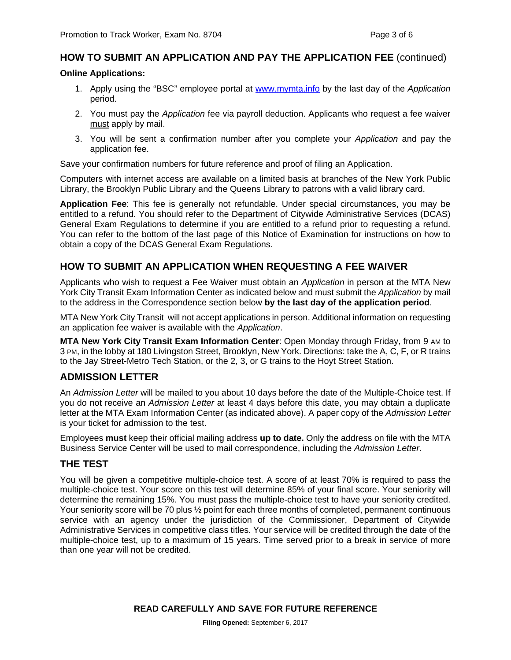#### **HOW TO SUBMIT AN APPLICATION AND PAY THE APPLICATION FEE** (continued)

#### **Online Applications:**

- 1. Apply using the "BSC" employee portal at www.mymta.info by the last day of the *Application*  period.
- 2. You must pay the *Application* fee via payroll deduction. Applicants who request a fee waiver must apply by mail.
- 3. You will be sent a confirmation number after you complete your *Application* and pay the application fee.

Save your confirmation numbers for future reference and proof of filing an Application.

Computers with internet access are available on a limited basis at branches of the New York Public Library, the Brooklyn Public Library and the Queens Library to patrons with a valid library card.

**Application Fee**: This fee is generally not refundable. Under special circumstances, you may be entitled to a refund. You should refer to the Department of Citywide Administrative Services (DCAS) General Exam Regulations to determine if you are entitled to a refund prior to requesting a refund. You can refer to the bottom of the last page of this Notice of Examination for instructions on how to obtain a copy of the DCAS General Exam Regulations.

# **HOW TO SUBMIT AN APPLICATION WHEN REQUESTING A FEE WAIVER**

Applicants who wish to request a Fee Waiver must obtain an *Application* in person at the MTA New York City Transit Exam Information Center as indicated below and must submit the *Application* by mail to the address in the Correspondence section below **by the last day of the application period**.

MTA New York City Transit will not accept applications in person. Additional information on requesting an application fee waiver is available with the *Application*.

**MTA New York City Transit Exam Information Center**: Open Monday through Friday, from 9 AM to 3 PM, in the lobby at 180 Livingston Street, Brooklyn, New York. Directions: take the A, C, F, or R trains to the Jay Street-Metro Tech Station, or the 2, 3, or G trains to the Hoyt Street Station.

# **ADMISSION LETTER**

An *Admission Letter* will be mailed to you about 10 days before the date of the Multiple-Choice test. If you do not receive an *Admission Letter* at least 4 days before this date, you may obtain a duplicate letter at the MTA Exam Information Center (as indicated above). A paper copy of the *Admission Letter* is your ticket for admission to the test.

Employees **must** keep their official mailing address **up to date.** Only the address on file with the MTA Business Service Center will be used to mail correspondence, including the *Admission Letter.*

#### **THE TEST**

You will be given a competitive multiple-choice test. A score of at least 70% is required to pass the multiple-choice test. Your score on this test will determine 85% of your final score. Your seniority will determine the remaining 15%. You must pass the multiple-choice test to have your seniority credited. Your seniority score will be 70 plus  $\frac{1}{2}$  point for each three months of completed, permanent continuous service with an agency under the jurisdiction of the Commissioner, Department of Citywide Administrative Services in competitive class titles. Your service will be credited through the date of the multiple-choice test, up to a maximum of 15 years. Time served prior to a break in service of more than one year will not be credited.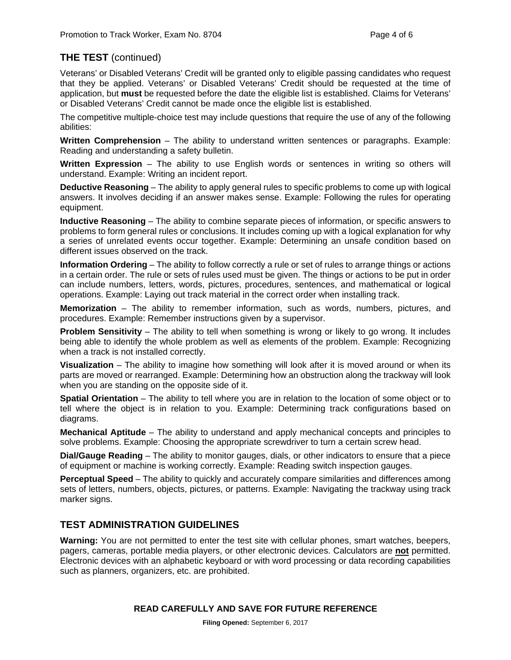# **THE TEST** (continued)

Veterans' or Disabled Veterans' Credit will be granted only to eligible passing candidates who request that they be applied. Veterans' or Disabled Veterans' Credit should be requested at the time of application, but **must** be requested before the date the eligible list is established. Claims for Veterans' or Disabled Veterans' Credit cannot be made once the eligible list is established.

The competitive multiple-choice test may include questions that require the use of any of the following abilities:

**Written Comprehension** – The ability to understand written sentences or paragraphs. Example: Reading and understanding a safety bulletin.

**Written Expression** – The ability to use English words or sentences in writing so others will understand. Example: Writing an incident report.

**Deductive Reasoning** – The ability to apply general rules to specific problems to come up with logical answers. It involves deciding if an answer makes sense. Example: Following the rules for operating equipment.

**Inductive Reasoning** – The ability to combine separate pieces of information, or specific answers to problems to form general rules or conclusions. It includes coming up with a logical explanation for why a series of unrelated events occur together. Example: Determining an unsafe condition based on different issues observed on the track.

**Information Ordering** – The ability to follow correctly a rule or set of rules to arrange things or actions in a certain order. The rule or sets of rules used must be given. The things or actions to be put in order can include numbers, letters, words, pictures, procedures, sentences, and mathematical or logical operations. Example: Laying out track material in the correct order when installing track.

**Memorization** – The ability to remember information, such as words, numbers, pictures, and procedures. Example: Remember instructions given by a supervisor.

**Problem Sensitivity** – The ability to tell when something is wrong or likely to go wrong. It includes being able to identify the whole problem as well as elements of the problem. Example: Recognizing when a track is not installed correctly.

**Visualization** – The ability to imagine how something will look after it is moved around or when its parts are moved or rearranged. Example: Determining how an obstruction along the trackway will look when you are standing on the opposite side of it.

**Spatial Orientation** – The ability to tell where you are in relation to the location of some object or to tell where the object is in relation to you. Example: Determining track configurations based on diagrams.

**Mechanical Aptitude** – The ability to understand and apply mechanical concepts and principles to solve problems. Example: Choosing the appropriate screwdriver to turn a certain screw head.

**Dial/Gauge Reading** – The ability to monitor gauges, dials, or other indicators to ensure that a piece of equipment or machine is working correctly. Example: Reading switch inspection gauges.

**Perceptual Speed** – The ability to quickly and accurately compare similarities and differences among sets of letters, numbers, objects, pictures, or patterns. Example: Navigating the trackway using track marker signs.

# **TEST ADMINISTRATION GUIDELINES**

**Warning:** You are not permitted to enter the test site with cellular phones, smart watches, beepers, pagers, cameras, portable media players, or other electronic devices. Calculators are **not** permitted. Electronic devices with an alphabetic keyboard or with word processing or data recording capabilities such as planners, organizers, etc. are prohibited.

#### **READ CAREFULLY AND SAVE FOR FUTURE REFERENCE**

**Filing Opened:** September 6, 2017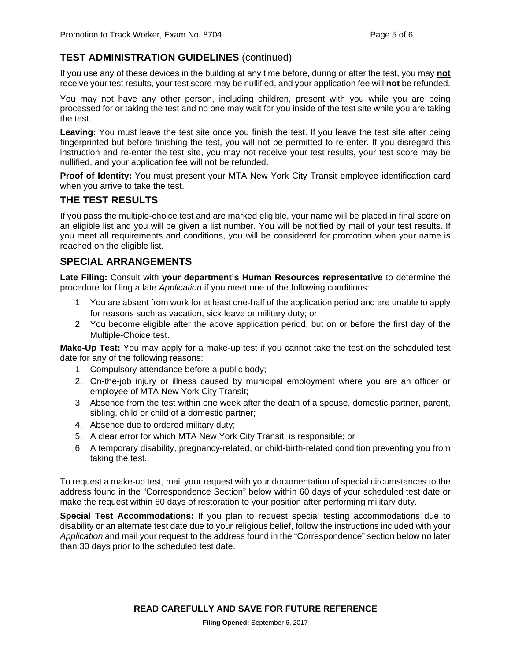# **TEST ADMINISTRATION GUIDELINES** (continued)

If you use any of these devices in the building at any time before, during or after the test, you may **not** receive your test results, your test score may be nullified, and your application fee will **not** be refunded.

You may not have any other person, including children, present with you while you are being processed for or taking the test and no one may wait for you inside of the test site while you are taking the test.

**Leaving:** You must leave the test site once you finish the test. If you leave the test site after being fingerprinted but before finishing the test, you will not be permitted to re-enter. If you disregard this instruction and re-enter the test site, you may not receive your test results, your test score may be nullified, and your application fee will not be refunded.

**Proof of Identity:** You must present your MTA New York City Transit employee identification card when you arrive to take the test.

# **THE TEST RESULTS**

If you pass the multiple-choice test and are marked eligible, your name will be placed in final score on an eligible list and you will be given a list number. You will be notified by mail of your test results. If you meet all requirements and conditions, you will be considered for promotion when your name is reached on the eligible list.

# **SPECIAL ARRANGEMENTS**

**Late Filing:** Consult with **your department's Human Resources representative** to determine the procedure for filing a late *Application* if you meet one of the following conditions:

- 1. You are absent from work for at least one-half of the application period and are unable to apply for reasons such as vacation, sick leave or military duty; or
- 2. You become eligible after the above application period, but on or before the first day of the Multiple-Choice test.

**Make-Up Test:** You may apply for a make-up test if you cannot take the test on the scheduled test date for any of the following reasons:

- 1. Compulsory attendance before a public body;
- 2. On-the-job injury or illness caused by municipal employment where you are an officer or employee of MTA New York City Transit;
- 3. Absence from the test within one week after the death of a spouse, domestic partner, parent, sibling, child or child of a domestic partner;
- 4. Absence due to ordered military duty;
- 5. A clear error for which MTA New York City Transit is responsible; or
- 6. A temporary disability, pregnancy-related, or child-birth-related condition preventing you from taking the test.

To request a make-up test, mail your request with your documentation of special circumstances to the address found in the "Correspondence Section" below within 60 days of your scheduled test date or make the request within 60 days of restoration to your position after performing military duty.

**Special Test Accommodations:** If you plan to request special testing accommodations due to disability or an alternate test date due to your religious belief, follow the instructions included with your *Application* and mail your request to the address found in the "Correspondence" section below no later than 30 days prior to the scheduled test date.